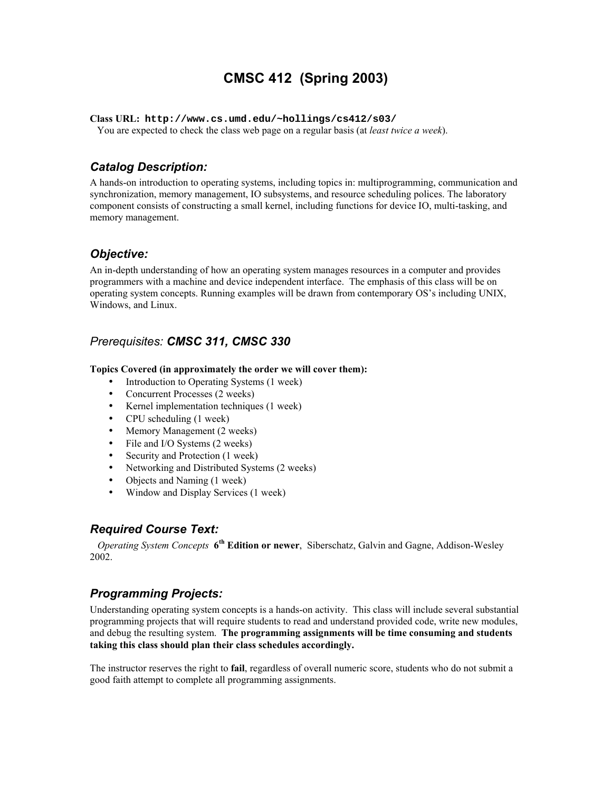# **CMSC 412 (Spring 2003)**

**Class URL: http://www.cs.umd.edu/~hollings/cs412/s03/**

You are expected to check the class web page on a regular basis (at *least twice a week*).

# *Catalog Description:*

A hands-on introduction to operating systems, including topics in: multiprogramming, communication and synchronization, memory management, IO subsystems, and resource scheduling polices. The laboratory component consists of constructing a small kernel, including functions for device IO, multi-tasking, and memory management.

### *Objective:*

An in-depth understanding of how an operating system manages resources in a computer and provides programmers with a machine and device independent interface. The emphasis of this class will be on operating system concepts. Running examples will be drawn from contemporary OS's including UNIX, Windows, and Linux.

### *Prerequisites: CMSC 311, CMSC 330*

#### **Topics Covered (in approximately the order we will cover them):**

- Introduction to Operating Systems (1 week)
- Concurrent Processes (2 weeks)
- Kernel implementation techniques (1 week)
- CPU scheduling (1 week)
- Memory Management (2 weeks)
- File and I/O Systems (2 weeks)
- Security and Protection (1 week)
- Networking and Distributed Systems (2 weeks)
- Objects and Naming (1 week)
- Window and Display Services (1 week)

#### *Required Course Text:*

 *Operating System Concepts* **6th Edition or newer**, Siberschatz, Galvin and Gagne, Addison-Wesley 2002.

#### *Programming Projects:*

Understanding operating system concepts is a hands-on activity. This class will include several substantial programming projects that will require students to read and understand provided code, write new modules, and debug the resulting system. **The programming assignments will be time consuming and students taking this class should plan their class schedules accordingly.** 

The instructor reserves the right to **fail**, regardless of overall numeric score, students who do not submit a good faith attempt to complete all programming assignments.